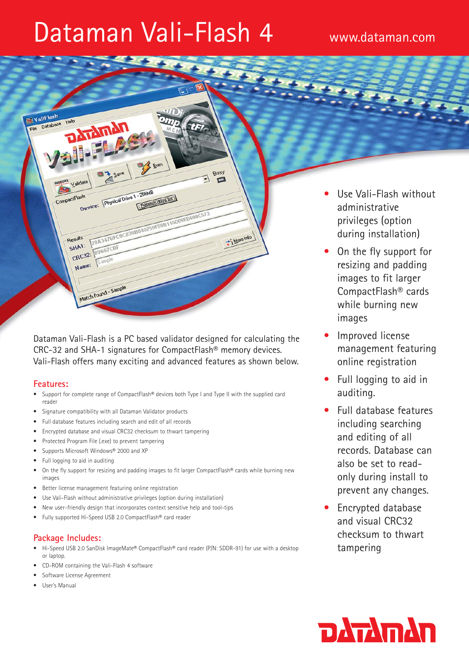# Dataman Vali-Flash 4 www.dataman.com



Dataman Vali-Flash is a PC based validator designed for calculating the CRC-32 and SHA-1 signatures for CompactFlash® memory devices. Vali-Flash offers many exciting and advanced features as shown below.

# **Features:**

- Support for complete range of CompactFlash® devices both Type I and Type II with the supplied card reader
- Signature compatibility with all Dataman Validator products
- Full database features including search and edit of all records
- Encrypted database and visual CRC32 checksum to thwart tampering
- Protected Program File (.exe) to prevent tampering
- Supports Microsoft Windows® 2000 and XP
- Full logging to aid in auditing
- On the fly support for resizing and padding images to fit larger CompactFlash® cards while burning new images
- Better license management featuring online registration
- Use Vali-Flash without administrative privileges (option during installation)
- New user-friendly design that incorporates context sensitive help and tool-tips
- Fully supported Hi-Speed USB 2.0 CompactFlash® card reader

# **Package Includes:**

- Hi-Speed USB 2.0 SanDisk ImageMate® CompactFlash® card reader (P/N: SDDR-91) for use with a desktop or laptop.
- CD-ROM containing the Vali-Flash 4 software
- Software License Agreement
- User's Manual
- Use Vali-Flash without administrative privileges (option during installation)
- On the fly support for resizing and padding images to fit larger CompactFlash® cards while burning new images
- Improved license management featuring online registration
- Full logging to aid in auditing.
- Full database features including searching and editing of all records. Database can also be set to readonly during install to prevent any changes.
- Encrypted database and visual CRC32 checksum to thwart tampering